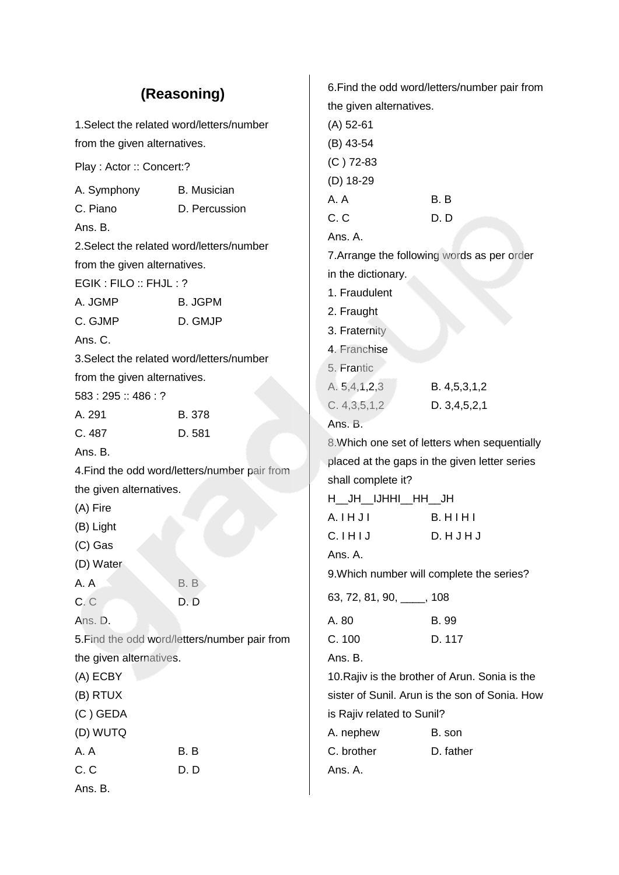| 1. Select the related word/letters/number<br>$(A)$ 52-61                                 |  |
|------------------------------------------------------------------------------------------|--|
|                                                                                          |  |
| from the given alternatives.<br>(B) 43-54                                                |  |
| $(C)$ 72-83<br>Play: Actor:: Concert:?                                                   |  |
| (D) 18-29<br>A. Symphony<br><b>B.</b> Musician<br>A.A<br>B.B                             |  |
| C. Piano<br>D. Percussion<br>C. C<br>D.D                                                 |  |
| Ans. B.<br>Ans. A.                                                                       |  |
| 2. Select the related word/letters/number<br>7. Arrange the following words as per order |  |
| from the given alternatives.<br>in the dictionary.                                       |  |
| EGIK: FILO:: FHJL: ?<br>1. Fraudulent                                                    |  |
| A. JGMP<br><b>B. JGPM</b><br>2. Fraught                                                  |  |
| C. GJMP<br>D. GMJP<br>3. Fraternity                                                      |  |
| Ans. C.<br>4. Franchise                                                                  |  |
| 3. Select the related word/letters/number<br>5. Frantic                                  |  |
| from the given alternatives.<br>A. 5, 4, 1, 2, 3<br>B. 4,5,3,1,2                         |  |
| 583:295::486:?<br>C. 4, 3, 5, 1, 2<br>D. 3, 4, 5, 2, 1                                   |  |
| A. 291<br><b>B.</b> 378<br>Ans. B.                                                       |  |
| C. 487<br>D. 581<br>8. Which one set of letters when sequentially                        |  |
| Ans. B.<br>placed at the gaps in the given letter series                                 |  |
| 4. Find the odd word/letters/number pair from<br>shall complete it?                      |  |
| the given alternatives.<br>H_JH_JJHHI_HH_JH                                              |  |
| (A) Fire<br>A. I H J I<br>B. HIHI                                                        |  |
| (B) Light<br>C.IHIJ<br>D. HJHJ                                                           |  |
| (C) Gas<br>Ans. A.                                                                       |  |
| (D) Water<br>9. Which number will complete the series?                                   |  |
| A.A<br>B.B<br>63, 72, 81, 90, ____, 108                                                  |  |
| C, C<br>D.D<br>A.80<br>Ans. D.<br><b>B.</b> 99                                           |  |
| C. 100<br>D. 117<br>5. Find the odd word/letters/number pair from                        |  |
| Ans. B.<br>the given alternatives.                                                       |  |
| (A) ECBY<br>10. Rajiv is the brother of Arun. Sonia is the                               |  |
| sister of Sunil. Arun is the son of Sonia. How<br>(B) RTUX                               |  |
| $(C)$ GEDA<br>is Rajiv related to Sunil?                                                 |  |
| (D) WUTQ<br>A. nephew<br>B. son                                                          |  |
| A.A<br>C. brother<br>B.B<br>D. father                                                    |  |
| C.C<br>Ans. A.<br>D.D                                                                    |  |
| Ans. B.                                                                                  |  |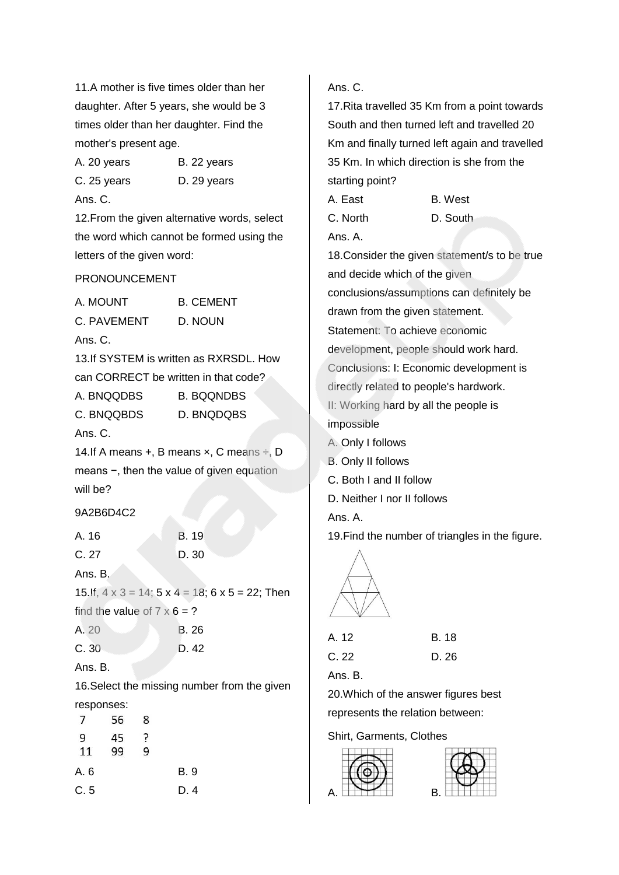11.A mother is five times older than her daughter. After 5 years, she would be 3 times older than her daughter. Find the mother's present age.

A. 20 years B. 22 years

C. 25 years D. 29 years

Ans. C.

12.From the given alternative words, select the word which cannot be formed using the letters of the given word:

### PRONOUNCEMENT

| A. MOUNT    | <b>B. CEMENT</b> |
|-------------|------------------|
| C. PAVEMENT | D. NOUN          |
| Ans. C.     |                  |

13.If SYSTEM is written as RXRSDL. How can CORRECT be written in that code?

| A. BNQQDBS | <b>B. BOONDBS</b> |
|------------|-------------------|
| C. BNQQBDS | D. BNQDQBS        |
| Ans. C.    |                   |

14.If A means +, B means ×, C means ÷, D means −, then the value of given equation will be?

### 9A2B6D4C2

| A. 16 | <b>B.</b> 19 |
|-------|--------------|
| C.27  | D. 30        |

Ans. B.

| 15. If, $4 \times 3 = 14$ ; $5 \times 4 = 18$ ; $6 \times 5 = 22$ ; Then |  |
|--------------------------------------------------------------------------|--|
| find the value of $7 \times 6 = ?$                                       |  |

| A. 20 | B.26  |
|-------|-------|
| C.30  | D. 42 |

### Ans. B.

16.Select the missing number from the given responses:

|      | 56 | 8 |            |
|------|----|---|------------|
| 9    | 45 | ? |            |
| 11   | 99 | 9 |            |
| A. 6 |    |   | <b>B.9</b> |
| C.5  |    |   | D.4        |
|      |    |   |            |

## Ans. C.

17.Rita travelled 35 Km from a point towards South and then turned left and travelled 20 Km and finally turned left again and travelled 35 Km. In which direction is she from the starting point?

| A. East  | B. West  |
|----------|----------|
| C. North | D. South |
| Ans A    |          |

18.Consider the given statement/s to be true and decide which of the given conclusions/assumptions can definitely be drawn from the given statement. Statement: To achieve economic development, people should work hard. Conclusions: I: Economic development is directly related to people's hardwork. II: Working hard by all the people is impossible

- A. Only I follows
- B. Only II follows
- C. Both I and II follow
- D. Neither I nor II follows

Ans. A.

19.Find the number of triangles in the figure.



Ans. B.

| A. 12 | B. 18 |
|-------|-------|
| C.22  | D. 26 |

20.Which of the answer figures best represents the relation between:

## Shirt, Garments, Clothes



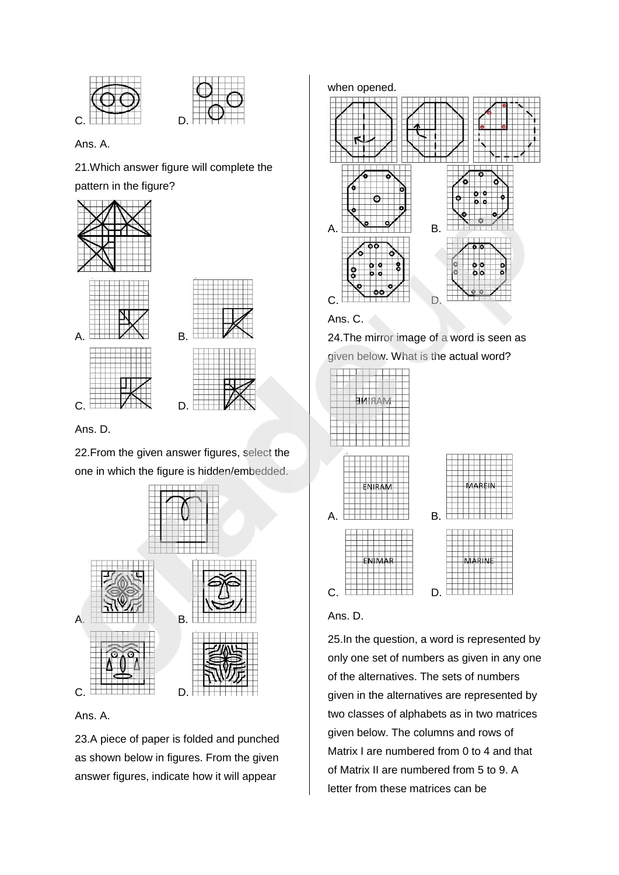



## Ans. A.

21.Which answer figure will complete the pattern in the figure?





Ans. D.

22.From the given answer figures, select the one in which the figure is hidden/embedded.



### Ans. A.

23.A piece of paper is folded and punched as shown below in figures. From the given answer figures, indicate how it will appear

when opened.



### Ans. C.

24.The mirror image of a word is seen as

given below. What is the actual word?



# Ans. D.

25.In the question, a word is represented by only one set of numbers as given in any one of the alternatives. The sets of numbers given in the alternatives are represented by two classes of alphabets as in two matrices given below. The columns and rows of Matrix I are numbered from 0 to 4 and that of Matrix II are numbered from 5 to 9. A letter from these matrices can be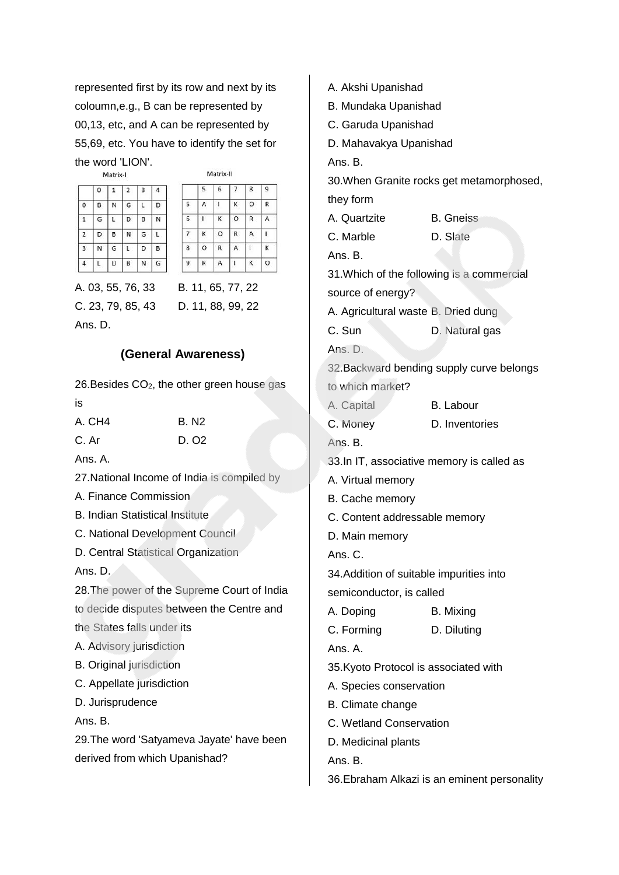represented first by its row and next by its coloumn,e.g., B can be represented by 00,13, etc, and A can be represented by 55,69, etc. You have to identify the set for the word 'LION'.

|                     |   | іматнх-і     |             |   |   |
|---------------------|---|--------------|-------------|---|---|
|                     | 0 | $\mathbf{1}$ | $\mathbf 2$ | 3 | 4 |
| 0                   | B | Ν            | G           | L | D |
| $1 \nightharpoonup$ | G | Г            | D           | В | N |
| $\overline{2}$      | D | В            | N           | G |   |
| 3                   | N | G            | L           | D | B |
| 4                   |   | D            | в           |   | G |

| 5 | 6            |         | 8         | 9 |
|---|--------------|---------|-----------|---|
| A |              | Κ       | O         | R |
|   | К            | $\circ$ | R         | А |
| ĸ | O            | R       | А         |   |
| O | $\mathsf{R}$ | А       |           | K |
| R |              |         | K         | O |
|   |              |         | Matrix-II |   |

Ans. D.

A. 03, 55, 76, 33 B. 11, 65, 77, 22 C. 23, 79, 85, 43 D. 11, 88, 99, 22

### **(General Awareness)**

26. Besides  $CO<sub>2</sub>$ , the other green house gas is A. CH4 B. N2 C. Ar D. O2 Ans. A. 27.National Income of India is compiled by A. Finance Commission B. Indian Statistical Institute C. National Development Council D. Central Statistical Organization Ans. D. 28.The power of the Supreme Court of India to decide disputes between the Centre and the States falls under its A. Advisory jurisdiction B. Original jurisdiction C. Appellate jurisdiction D. Jurisprudence Ans. B. 29.The word 'Satyameva Jayate' have been derived from which Upanishad?

A. Akshi Upanishad B. Mundaka Upanishad C. Garuda Upanishad D. Mahavakya Upanishad Ans. B. 30.When Granite rocks get metamorphosed, they form A. Quartzite B. Gneiss C. Marble D. Slate Ans. B. 31.Which of the following is a commercial source of energy? A. Agricultural waste B. Dried dung C. Sun D. Natural gas Ans. D. 32.Backward bending supply curve belongs to which market? A. Capital **B. Labour** C. Money D. Inventories Ans. B. 33.In IT, associative memory is called as A. Virtual memory B. Cache memory C. Content addressable memory D. Main memory Ans. C. 34.Addition of suitable impurities into semiconductor, is called A. Doping B. Mixing C. Forming D. Diluting Ans. A. 35.Kyoto Protocol is associated with A. Species conservation B. Climate change C. Wetland Conservation D. Medicinal plants Ans. B.

36.Ebraham Alkazi is an eminent personality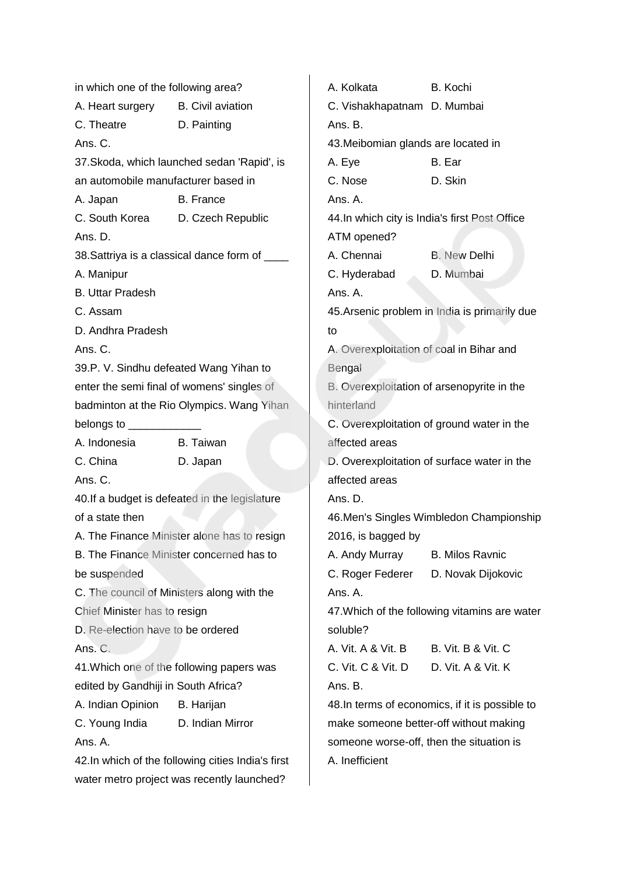in which one of the following area? A. Heart surgery B. Civil aviation C. Theatre D. Painting Ans. C. 37.Skoda, which launched sedan 'Rapid', is an automobile manufacturer based in A. Japan B. France C. South Korea D. Czech Republic Ans. D. 38.Sattriya is a classical dance form of \_\_\_\_ A. Manipur B. Uttar Pradesh C. Assam D. Andhra Pradesh Ans. C. 39.P. V. Sindhu defeated Wang Yihan to enter the semi final of womens' singles of badminton at the Rio Olympics. Wang Yihan belongs to A. Indonesia B. Taiwan C. China D. Japan Ans. C. 40.If a budget is defeated in the legislature of a state then A. The Finance Minister alone has to resign B. The Finance Minister concerned has to be suspended C. The council of Ministers along with the Chief Minister has to resign D. Re-election have to be ordered Ans. C. 41.Which one of the following papers was edited by Gandhiji in South Africa? A. Indian Opinion B. Harijan C. Young India D. Indian Mirror Ans. A. 42.In which of the following cities India's first water metro project was recently launched? A. Kolkata B. Kochi C. Vishakhapatnam D. Mumbai Ans. B. 43.Meibomian glands are located in A. Eye B. Ear C. Nose D. Skin Ans. A. 44.In which city is India's first Post Office ATM opened? A. Chennai B. New Delhi C. Hyderabad D. Mumbai Ans. A. 45.Arsenic problem in India is primarily due to A. Overexploitation of coal in Bihar and Bengal B. Overexploitation of arsenopyrite in the hinterland C. Overexploitation of ground water in the affected areas D. Overexploitation of surface water in the affected areas Ans. D. 46.Men's Singles Wimbledon Championship 2016, is bagged by A. Andy Murray B. Milos Ravnic C. Roger Federer D. Novak Dijokovic Ans. A. 47.Which of the following vitamins are water soluble? A. Vit. A & Vit. B B. Vit. B & Vit. C C. Vit. C. & Vit. D. D. Vit. A & Vit. K. Ans. B. 48.In terms of economics, if it is possible to make someone better-off without making someone worse-off, then the situation is A. Inefficient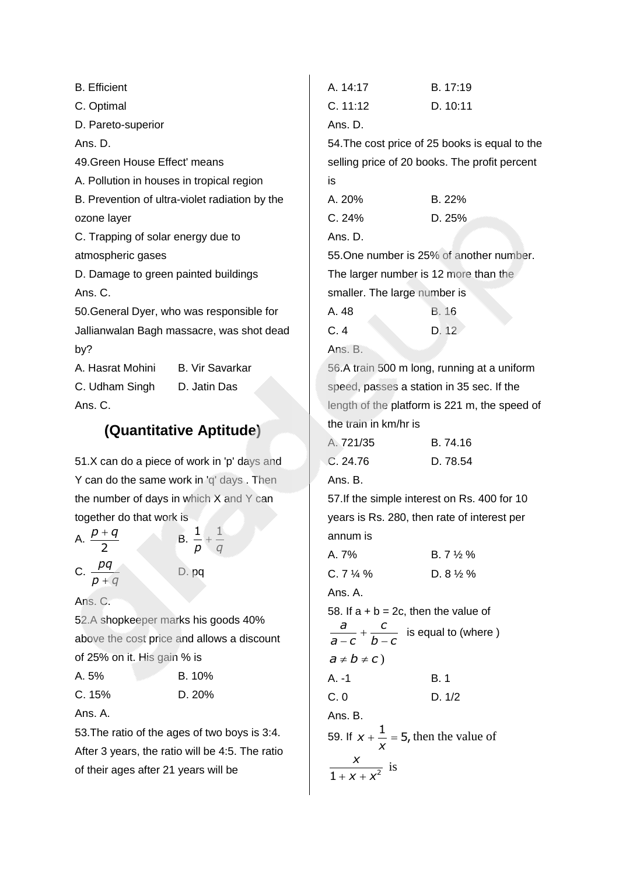| <b>B.</b> Efficient                                                                     | A. 14:17                                               | B. 17:19            |  |
|-----------------------------------------------------------------------------------------|--------------------------------------------------------|---------------------|--|
| C. Optimal                                                                              | C. 11:12                                               | D. 10:11            |  |
| D. Pareto-superior                                                                      | Ans. D.                                                |                     |  |
| Ans. D.                                                                                 | 54. The cost price of 25 books is equal to the         |                     |  |
| 49. Green House Effect' means                                                           | selling price of 20 books. The profit percent          |                     |  |
| A. Pollution in houses in tropical region                                               | is                                                     |                     |  |
| B. Prevention of ultra-violet radiation by the                                          | A. 20%                                                 | B. 22%              |  |
| ozone layer                                                                             | C.24%                                                  | D. 25%              |  |
| C. Trapping of solar energy due to                                                      | Ans. D.                                                |                     |  |
| atmospheric gases                                                                       | 55. One number is 25% of another number.               |                     |  |
| D. Damage to green painted buildings                                                    | The larger number is 12 more than the                  |                     |  |
| Ans. C.                                                                                 | smaller. The large number is                           |                     |  |
| 50. General Dyer, who was responsible for                                               | A. 48                                                  | B. 16               |  |
| Jallianwalan Bagh massacre, was shot dead                                               | C.4                                                    | D. 12               |  |
| by?                                                                                     | Ans. B.                                                |                     |  |
| A. Hasrat Mohini<br><b>B. Vir Savarkar</b>                                              | 56.A train 500 m long, running at a uniform            |                     |  |
| C. Udham Singh<br>D. Jatin Das                                                          | speed, passes a station in 35 sec. If the              |                     |  |
| Ans. C.                                                                                 | length of the platform is 221 m, the speed of          |                     |  |
| (Quantitative Aptitude)                                                                 | the train in km/hr is                                  |                     |  |
|                                                                                         | A. 721/35                                              | B. 74.16            |  |
|                                                                                         |                                                        |                     |  |
| 51.X can do a piece of work in 'p' days and                                             | C. 24.76                                               | D. 78.54            |  |
| Y can do the same work in 'q' days. Then                                                | Ans. B.                                                |                     |  |
| the number of days in which X and Y can                                                 | 57. If the simple interest on Rs. 400 for 10           |                     |  |
| together do that work is                                                                | years is Rs. 280, then rate of interest per            |                     |  |
|                                                                                         | annum is                                               |                     |  |
| <b>B.</b> $\frac{1}{p} + \frac{1}{q}$<br>A. $\frac{p+q}{2}$                             | A. 7%                                                  | $B.7\frac{1}{2}\%$  |  |
| D. pq                                                                                   | C. 7 1/4 %                                             | D. $8\frac{1}{2}\%$ |  |
| C. $\frac{pq}{p+q}$                                                                     | Ans. A.                                                |                     |  |
| Ans. C.                                                                                 | 58. If $a + b = 2c$ , then the value of                |                     |  |
| 52.A shopkeeper marks his goods 40%                                                     |                                                        |                     |  |
| above the cost price and allows a discount                                              | $\frac{a}{a-c}$ + $\frac{c}{b-c}$ is equal to (where ) |                     |  |
| of 25% on it. His gain % is                                                             | $a \neq b \neq c$ )                                    |                     |  |
| A. 5%<br>B. 10%                                                                         | $A. -1$                                                | B. 1                |  |
| C. 15%<br>D. 20%                                                                        | C.0                                                    | D. 1/2              |  |
| Ans. A.                                                                                 | Ans. B.                                                |                     |  |
| 53. The ratio of the ages of two boys is 3:4.                                           | 59. If $x + \frac{1}{x} = 5$ , then the value of       |                     |  |
| After 3 years, the ratio will be 4:5. The ratio<br>of their ages after 21 years will be | $\frac{x}{1+x+x^2}$ is                                 |                     |  |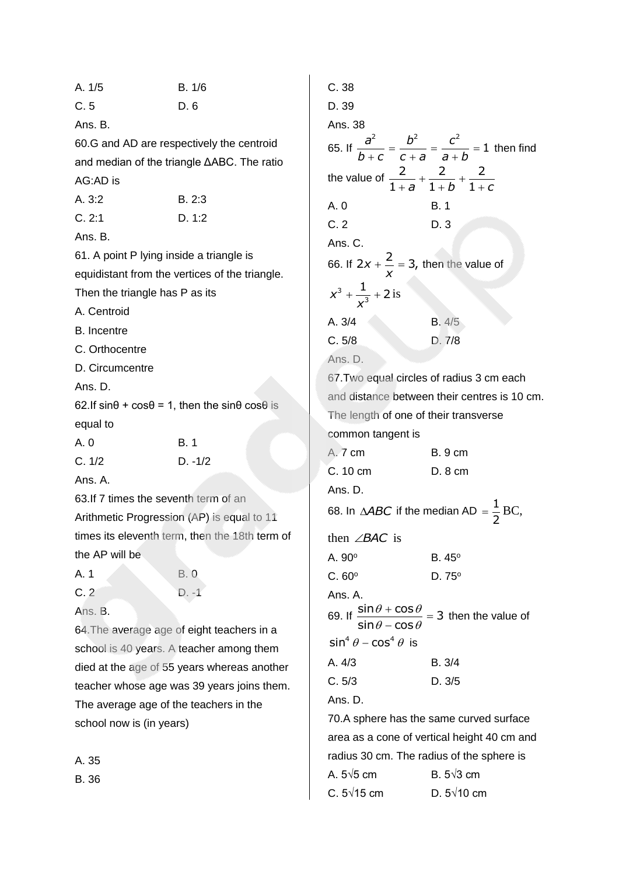| A. 1/5                                     | B. 1/6                                                                          |
|--------------------------------------------|---------------------------------------------------------------------------------|
| C.5                                        | D. 6                                                                            |
| Ans. B.                                    |                                                                                 |
|                                            | 60.G and AD are respectively the centroid                                       |
|                                            | and median of the triangle ∆ABC. The ratio                                      |
| AG:AD is                                   |                                                                                 |
| A. 3:2                                     | B. 2:3                                                                          |
| C.2:1                                      | D. 1:2                                                                          |
| Ans. B.                                    |                                                                                 |
| 61. A point P lying inside a triangle is   |                                                                                 |
|                                            | equidistant from the vertices of the triangle.                                  |
| Then the triangle has P as its             |                                                                                 |
| A. Centroid                                |                                                                                 |
| <b>B.</b> Incentre                         |                                                                                 |
| C. Orthocentre                             |                                                                                 |
| D. Circumcentre                            |                                                                                 |
| Ans. D.                                    |                                                                                 |
|                                            | $62.$ If sin $\theta$ + $\cos\theta$ = 1, then the sin $\theta$ cos $\theta$ is |
| equal to                                   |                                                                                 |
| A. 0                                       | B.1                                                                             |
| C. 1/2                                     | $D. -1/2$                                                                       |
| Ans. A.                                    |                                                                                 |
| 63.If 7 times the seventh term of an       |                                                                                 |
|                                            | Arithmetic Progression (AP) is equal to 11                                      |
|                                            | times its eleventh term, then the 18th term of                                  |
| the AP will be                             |                                                                                 |
| A. 1                                       | B.0                                                                             |
| C.2                                        | $D. -1$                                                                         |
| Ans. B.                                    |                                                                                 |
|                                            | 64. The average age of eight teachers in a                                      |
|                                            | school is 40 years. A teacher among them                                        |
|                                            | died at the age of 55 years whereas another                                     |
| teacher whose age was 39 years joins them. |                                                                                 |
| The average age of the teachers in the     |                                                                                 |
| school now is (in years)                   |                                                                                 |
|                                            |                                                                                 |

A. 35 B. 36

| C.38                                                         |                                                                                        |
|--------------------------------------------------------------|----------------------------------------------------------------------------------------|
| D. 39                                                        |                                                                                        |
| Ans. 38                                                      |                                                                                        |
|                                                              | 65. If $\frac{a^2}{b+c} = \frac{b^2}{c+a} = \frac{c^2}{a+b} = 1$ then find             |
| the value of $\frac{2}{1+a} + \frac{2}{1+b} + \frac{2}{1+c}$ |                                                                                        |
| A.0                                                          | <b>B.1</b>                                                                             |
| C.2                                                          | D.3                                                                                    |
| Ans. C.                                                      |                                                                                        |
| 66. If $2x + \frac{2}{x} = 3$ , then the value of            |                                                                                        |
| $x^3 + \frac{1}{x^3} + 2$ is                                 |                                                                                        |
| A. 3/4                                                       | <b>B.</b> 4/5                                                                          |
| C.5/8                                                        | D. 7/8                                                                                 |
| Ans. D.                                                      |                                                                                        |
| 67. Two equal circles of radius 3 cm each                    |                                                                                        |
|                                                              | and distance between their centres is 10 cm.                                           |
| The length of one of their transverse                        |                                                                                        |
| common tangent is                                            |                                                                                        |
| A. 7 cm                                                      | <b>B.</b> 9 cm                                                                         |
| C. 10 cm                                                     | D. 8 cm                                                                                |
| Ans. D.                                                      |                                                                                        |
| 68. In $\triangle ABC$ if the median AD = $\frac{1}{2}$ BC,  |                                                                                        |
| then $\angle BAC$ is                                         |                                                                                        |
| A. $90^\circ$                                                | B. 45°                                                                                 |
| C.60°                                                        | $D.75^\circ$                                                                           |
| Ans. A.                                                      |                                                                                        |
|                                                              | 69. If $\frac{\sin\theta + \cos\theta}{\sin\theta - \cos\theta} = 3$ then the value of |
| $\sin^4 \theta - \cos^4 \theta$ is                           |                                                                                        |
| A.4/3                                                        | B. 3/4                                                                                 |
| C. 5/3                                                       | D.3/5                                                                                  |
| Ans. D.                                                      |                                                                                        |
|                                                              | 70.A sphere has the same curved surface                                                |
|                                                              | area as a cone of vertical height 40 cm and                                            |
| radius 30 cm. The radius of the sphere is                    |                                                                                        |
| A. $5\sqrt{5}$ cm                                            | B. $5\sqrt{3}$ cm                                                                      |
| C. $5\sqrt{15}$ cm                                           | D. $5\sqrt{10}$ cm                                                                     |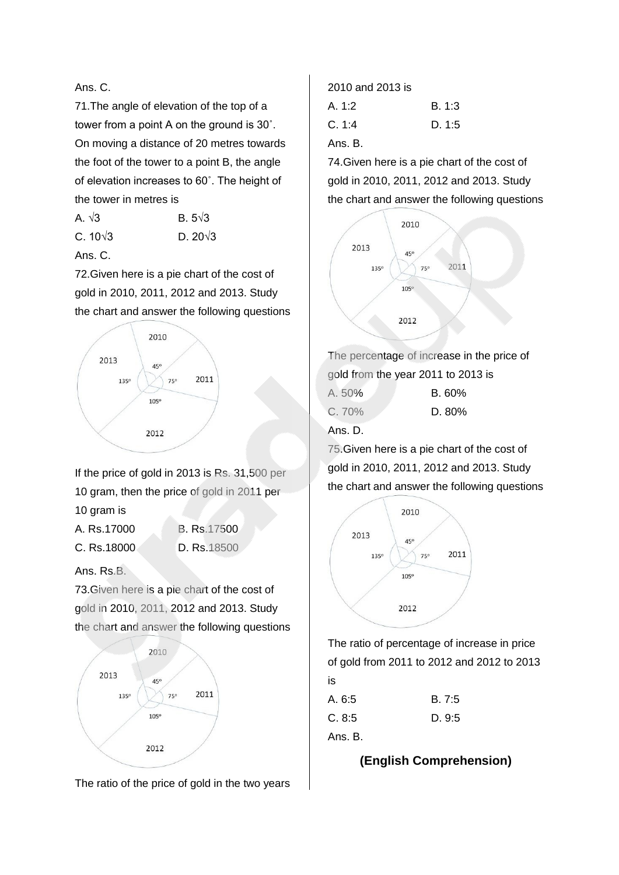### Ans. C.

71.The angle of elevation of the top of a tower from a point A on the ground is 30˚. On moving a distance of 20 metres towards the foot of the tower to a point B, the angle of elevation increases to 60˚. The height of the tower in metres is

| A. $\sqrt{3}$   | B. $5\sqrt{3}$  |
|-----------------|-----------------|
| C. $10\sqrt{3}$ | D. $20\sqrt{3}$ |

Ans. C.

72.Given here is a pie chart of the cost of gold in 2010, 2011, 2012 and 2013. Study the chart and answer the following questions



If the price of gold in 2013 is Rs. 31,500 per 10 gram, then the price of gold in 2011 per 10 gram is

A. Rs.17000 B. Rs.17500 C. Rs.18000 D. Rs.18500

Ans. Rs.B.

73.Given here is a pie chart of the cost of gold in 2010, 2011, 2012 and 2013. Study the chart and answer the following questions



The ratio of the price of gold in the two years

### 2010 and 2013 is

| A. 1:2 | B. 1:3 |
|--------|--------|
| C. 1:4 | D. 1:5 |
|        |        |

Ans. B.

74.Given here is a pie chart of the cost of gold in 2010, 2011, 2012 and 2013. Study the chart and answer the following questions



The percentage of increase in the price of gold from the year 2011 to 2013 is A. 50% B. 60% C. 70% D. 80%

Ans. D.

75.Given here is a pie chart of the cost of gold in 2010, 2011, 2012 and 2013. Study the chart and answer the following questions



The ratio of percentage of increase in price of gold from 2011 to 2012 and 2012 to 2013 is

| A.6:5   | B. 7:5 |
|---------|--------|
| C.8:5   | D. 9:5 |
| Ans. B. |        |

# **(English Comprehension)**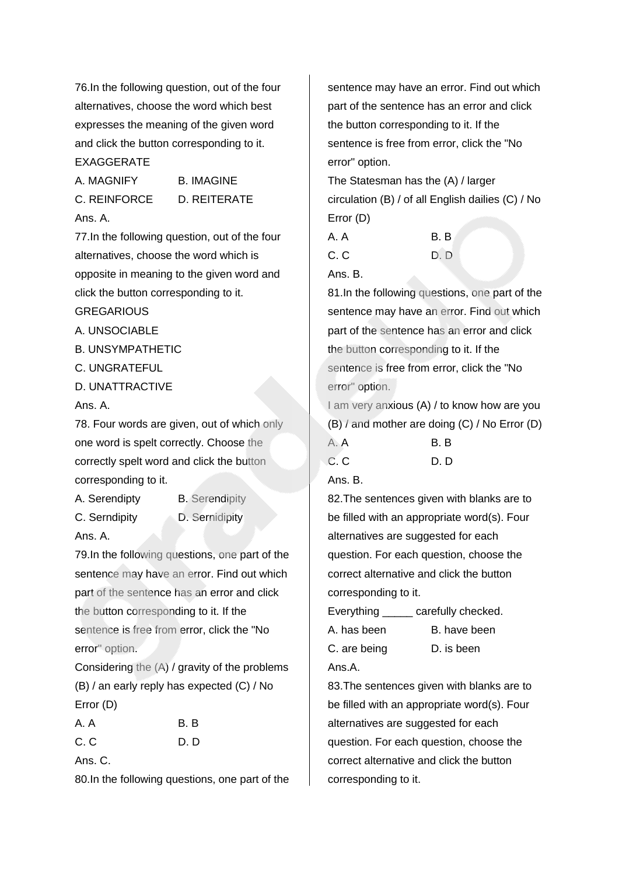76.In the following question, out of the four alternatives, choose the word which best expresses the meaning of the given word and click the button corresponding to it.

## EXAGGERATE

A. MAGNIFY B. IMAGINE C. REINFORCE D. REITERATE

Ans. A.

77.In the following question, out of the four alternatives, choose the word which is opposite in meaning to the given word and click the button corresponding to it. **GREGARIOUS** 

- A. UNSOCIABLE
- B. UNSYMPATHETIC
- C. UNGRATEFUL
- D. UNATTRACTIVE

Ans. A.

78. Four words are given, out of which only one word is spelt correctly. Choose the correctly spelt word and click the button corresponding to it.

- A. Serendipty **B.** Serendipity
- C. Serndipity D. Sernidipity
	-

Ans. A.

79.In the following questions, one part of the sentence may have an error. Find out which part of the sentence has an error and click the button corresponding to it. If the sentence is free from error, click the "No

error" option.

Considering the (A) / gravity of the problems (B) / an early reply has expected (C) / No Error (D)

| A. A | B.B  |
|------|------|
| C. C | D. D |

Ans. C.

80.In the following questions, one part of the

sentence may have an error. Find out which part of the sentence has an error and click the button corresponding to it. If the sentence is free from error, click the "No error" option.

The Statesman has the (A) / larger circulation (B) / of all English dailies (C) / No Error (D)

| A. A | B. B |
|------|------|
| C.C  | D. D |
|      |      |

Ans. B.

81.In the following questions, one part of the sentence may have an error. Find out which part of the sentence has an error and click the button corresponding to it. If the sentence is free from error, click the "No error" option.

I am very anxious (A) / to know how are you (B) / and mother are doing (C) / No Error (D)

| A. A | B. B |
|------|------|
| C. C | D. D |

Ans. B.

82.The sentences given with blanks are to be filled with an appropriate word(s). Four alternatives are suggested for each question. For each question, choose the correct alternative and click the button corresponding to it.

Everything \_\_\_\_\_ carefully checked.

A. has been B. have been C. are being D. is been

#### Ans.A.

83.The sentences given with blanks are to be filled with an appropriate word(s). Four alternatives are suggested for each question. For each question, choose the correct alternative and click the button corresponding to it.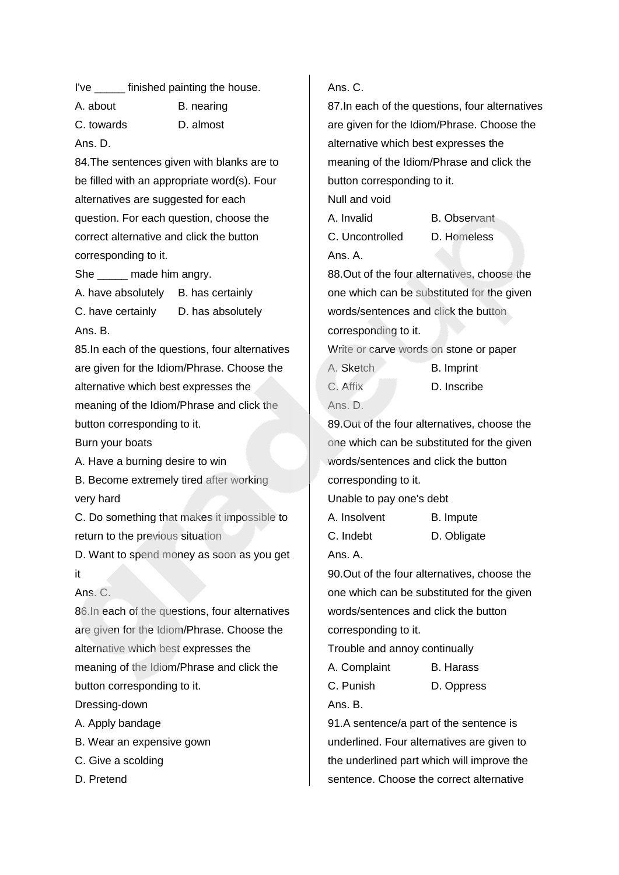I've finished painting the house.

A. about B. nearing

C. towards D. almost

Ans. D.

84.The sentences given with blanks are to be filled with an appropriate word(s). Four alternatives are suggested for each question. For each question, choose the correct alternative and click the button corresponding to it.

She \_\_\_\_\_ made him angry.

A. have absolutely B. has certainly

C. have certainly D. has absolutely Ans. B.

85.In each of the questions, four alternatives are given for the Idiom/Phrase. Choose the alternative which best expresses the meaning of the Idiom/Phrase and click the button corresponding to it.

Burn your boats

A. Have a burning desire to win

B. Become extremely tired after working very hard

C. Do something that makes it impossible to return to the previous situation

D. Want to spend money as soon as you get it

Ans. C.

86.In each of the questions, four alternatives are given for the Idiom/Phrase. Choose the alternative which best expresses the meaning of the Idiom/Phrase and click the button corresponding to it.

Dressing-down

A. Apply bandage

B. Wear an expensive gown

C. Give a scolding

D. Pretend

#### Ans. C.

87.In each of the questions, four alternatives are given for the Idiom/Phrase. Choose the alternative which best expresses the meaning of the Idiom/Phrase and click the button corresponding to it.

Null and void

A. Invalid B. Observant

C. Uncontrolled D. Homeless Ans. A.

88.Out of the four alternatives, choose the one which can be substituted for the given words/sentences and click the button corresponding to it.

Write or carve words on stone or paper

| A. Sketch | <b>B.</b> Imprint |
|-----------|-------------------|
| C. Affix  | D. Inscribe       |
| Ans. D.   |                   |

89.Out of the four alternatives, choose the one which can be substituted for the given words/sentences and click the button corresponding to it.

Unable to pay one's debt

A. Insolvent B. Impute

C. Indebt D. Obligate

Ans. A.

90.Out of the four alternatives, choose the one which can be substituted for the given words/sentences and click the button corresponding to it.

Trouble and annoy continually

A. Complaint B. Harass

C. Punish D. Oppress

Ans. B.

91.A sentence/a part of the sentence is underlined. Four alternatives are given to the underlined part which will improve the sentence. Choose the correct alternative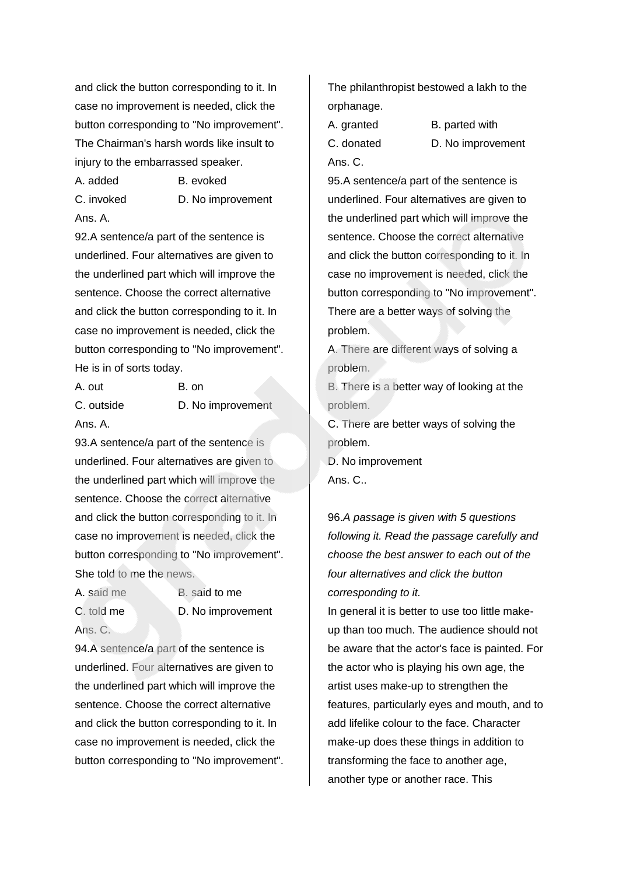and click the button corresponding to it. In case no improvement is needed, click the button corresponding to "No improvement". The Chairman's harsh words like insult to injury to the embarrassed speaker.

A. added B. evoked

Ans. A.

C. invoked D. No improvement

92.A sentence/a part of the sentence is underlined. Four alternatives are given to the underlined part which will improve the sentence. Choose the correct alternative and click the button corresponding to it. In case no improvement is needed, click the button corresponding to "No improvement". He is in of sorts today.

A. out B. on C. outside D. No improvement Ans. A.

93.A sentence/a part of the sentence is underlined. Four alternatives are given to the underlined part which will improve the sentence. Choose the correct alternative and click the button corresponding to it. In case no improvement is needed, click the button corresponding to "No improvement". She told to me the news.

A. said me B. said to me C. told me D. No improvement Ans. C.

94.A sentence/a part of the sentence is underlined. Four alternatives are given to the underlined part which will improve the sentence. Choose the correct alternative and click the button corresponding to it. In case no improvement is needed, click the button corresponding to "No improvement".

The philanthropist bestowed a lakh to the orphanage.

Ans. C.

A. granted B. parted with

C. donated D. No improvement

95.A sentence/a part of the sentence is underlined. Four alternatives are given to the underlined part which will improve the sentence. Choose the correct alternative and click the button corresponding to it. In case no improvement is needed, click the button corresponding to "No improvement". There are a better ways of solving the problem.

A. There are different ways of solving a problem.

B. There is a better way of looking at the problem.

C. There are better ways of solving the problem.

D. No improvement Ans. C..

96.*A passage is given with 5 questions following it. Read the passage carefully and choose the best answer to each out of the four alternatives and click the button corresponding to it.*

In general it is better to use too little makeup than too much. The audience should not be aware that the actor's face is painted. For the actor who is playing his own age, the artist uses make-up to strengthen the features, particularly eyes and mouth, and to add lifelike colour to the face. Character make-up does these things in addition to transforming the face to another age, another type or another race. This